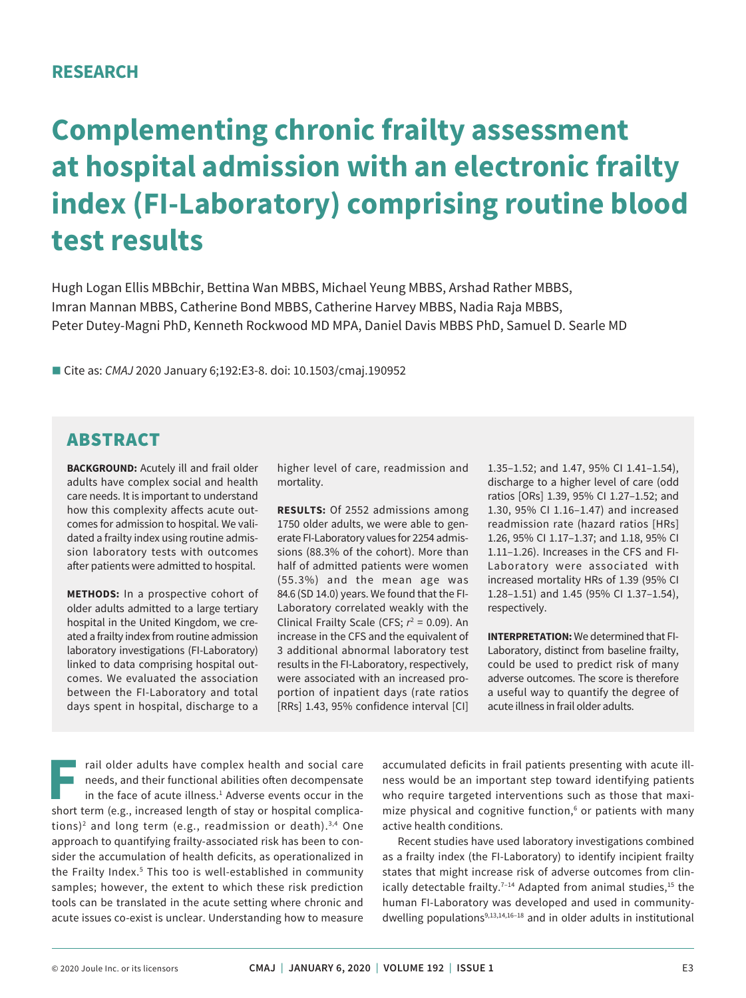# **RESEARCH**

# **Complementing chronic frailty assessment at hospital admission with an electronic frailty index (FI-Laboratory) comprising routine blood test results**

Hugh Logan Ellis MBBchir, Bettina Wan MBBS, Michael Yeung MBBS, Arshad Rather MBBS, Imran Mannan MBBS, Catherine Bond MBBS, Catherine Harvey MBBS, Nadia Raja MBBS, Peter Dutey-Magni PhD, Kenneth Rockwood MD MPA, Daniel Davis MBBS PhD, Samuel D. Searle MD

■ Cite as: *CMAJ* 2020 January 6;192:E3-8. doi: 10.1503/cmaj.190952

# ABSTRACT

**BACKGROUND:** Acutely ill and frail older adults have complex social and health care needs. It is important to understand how this complexity affects acute outcomes for admission to hospital. We validated a frailty index using routine admission laboratory tests with outcomes after patients were admitted to hospital.

**METHODS:** In a prospective cohort of older adults admitted to a large tertiary hospital in the United Kingdom, we created a frailty index from routine admission laboratory investigations (FI-Laboratory) linked to data comprising hospital outcomes. We evaluated the association between the FI-Laboratory and total days spent in hospital, discharge to a

higher level of care, readmission and mortality.

**RESULTS:** Of 2552 admissions among 1750 older adults, we were able to generate FI-Laboratory values for 2254 admissions (88.3% of the cohort). More than half of admitted patients were women (55.3%) and the mean age was 84.6 (SD 14.0) years. We found that the FI-Laboratory correlated weakly with the Clinical Frailty Scale (CFS;  $r^2 = 0.09$ ). An increase in the CFS and the equivalent of 3 additional abnormal laboratory test results in the FI-Laboratory, respectively, were associated with an increased proportion of inpatient days (rate ratios [RRs] 1.43, 95% confidence interval [CI] 1.35–1.52; and 1.47, 95% CI 1.41–1.54), discharge to a higher level of care (odd ratios [ORs] 1.39, 95% CI 1.27–1.52; and 1.30, 95% CI 1.16–1.47) and increased readmission rate (hazard ratios [HRs] 1.26, 95% CI 1.17–1.37; and 1.18, 95% CI 1.11–1.26). Increases in the CFS and FI-Laboratory were associated with increased mortality HRs of 1.39 (95% CI 1.28–1.51) and 1.45 (95% CI 1.37–1.54), respectively.

**INTERPRETATION:** We determined that FI-Laboratory, distinct from baseline frailty, could be used to predict risk of many adverse outcomes. The score is therefore a useful way to quantify the degree of acute illness in frail older adults.

**Frail older adults have complex health and social care needs, and their functional abilities often decompensate<br>in the face of acute illness.<sup>1</sup> Adverse events occur in the short term (e.g. increased length of stay or hos** needs, and their functional abilities often decompensate in the face of acute illness.<sup>1</sup> Adverse events occur in the short term (e.g., increased length of stay or hospital complications)2 and long term (e.g., readmission or death).3,4 One approach to quantifying frailty-associated risk has been to consider the accumulation of health deficits, as operationalized in the Frailty Index.<sup>5</sup> This too is well-established in community samples; however, the extent to which these risk prediction tools can be translated in the acute setting where chronic and acute issues co-exist is unclear. Understanding how to measure

accumulated deficits in frail patients presenting with acute illness would be an important step toward identifying patients who require targeted interventions such as those that maximize physical and cognitive function,<sup>6</sup> or patients with many active health conditions.

Recent studies have used laboratory investigations combined as a frailty index (the FI-Laboratory) to identify incipient frailty states that might increase risk of adverse outcomes from clinically detectable frailty.<sup>7-14</sup> Adapted from animal studies, $15$  the human FI-Laboratory was developed and used in communitydwelling populations<sup>9,13,14,16-18</sup> and in older adults in institutional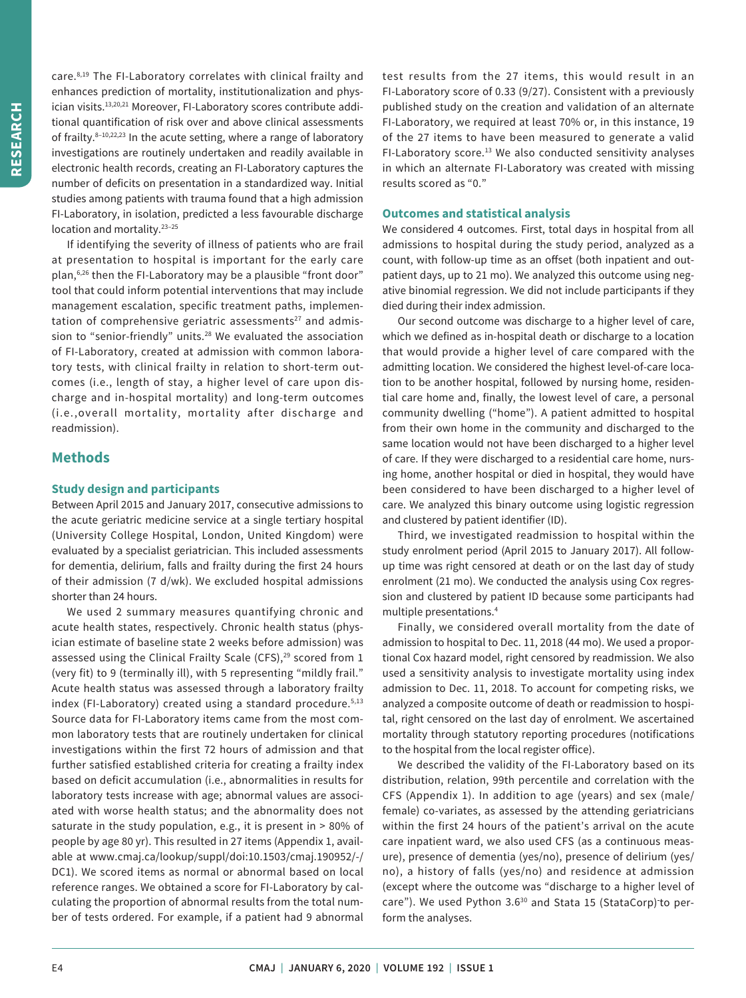care.<sup>8,19</sup> The FI-Laboratory correlates with clinical frailty and enhances prediction of mortality, institutionalization and physician visits.13,20,21 Moreover, FI-Laboratory scores contribute additional quantification of risk over and above clinical assessments of frailty.8–10,22,23 In the acute setting, where a range of laboratory investigations are routinely undertaken and readily available in electronic health records, creating an FI-Laboratory captures the number of deficits on presentation in a standardized way. Initial studies among patients with trauma found that a high admission FI-Laboratory, in isolation, predicted a less favourable discharge location and mortality.<sup>23-25</sup>

If identifying the severity of illness of patients who are frail at presentation to hospital is important for the early care plan,<sup>6,26</sup> then the FI-Laboratory may be a plausible "front door" tool that could inform potential interventions that may include management escalation, specific treatment paths, implementation of comprehensive geriatric assessments $27$  and admission to "senior-friendly" units.<sup>28</sup> We evaluated the association of FI-Laboratory, created at admission with common laboratory tests, with clinical frailty in relation to short-term outcomes (i.e., length of stay, a higher level of care upon discharge and in-hospital mortality) and long-term outcomes (i.e.,overall mortality, mortality after discharge and readmission).

## **Methods**

### **Study design and participants**

Between April 2015 and January 2017, consecutive admissions to the acute geriatric medicine service at a single tertiary hospital (University College Hospital, London, United Kingdom) were evaluated by a specialist geriatrician. This included assessments for dementia, delirium, falls and frailty during the first 24 hours of their admission (7 d/wk). We excluded hospital admissions shorter than 24 hours.

We used 2 summary measures quantifying chronic and acute health states, respectively. Chronic health status (physician estimate of baseline state 2 weeks before admission) was assessed using the Clinical Frailty Scale (CFS),<sup>29</sup> scored from 1 (very fit) to 9 (terminally ill), with 5 representing "mildly frail." Acute health status was assessed through a laboratory frailty index (FI-Laboratory) created using a standard procedure.<sup>5,13</sup> Source data for FI-Laboratory items came from the most common laboratory tests that are routinely undertaken for clinical investigations within the first 72 hours of admission and that further satisfied established criteria for creating a frailty index based on deficit accumulation (i.e., abnormalities in results for laboratory tests increase with age; abnormal values are associated with worse health status; and the abnormality does not saturate in the study population, e.g., it is present in > 80% of people by age 80 yr). This resulted in 27 items (Appendix 1, available at www.cmaj.ca/lookup/suppl/doi:10.1503/cmaj.190952/-/ DC1). We scored items as normal or abnormal based on local reference ranges. We obtained a score for FI-Laboratory by calculating the proportion of abnormal results from the total number of tests ordered. For example, if a patient had 9 abnormal test results from the 27 items, this would result in an FI-Laboratory score of 0.33 (9/27). Consistent with a previously published study on the creation and validation of an alternate FI-Laboratory, we required at least 70% or, in this instance, 19 of the 27 items to have been measured to generate a valid FI-Laboratory score.<sup>13</sup> We also conducted sensitivity analyses in which an alternate FI-Laboratory was created with missing results scored as "0."

#### **Outcomes and statistical analysis**

We considered 4 outcomes. First, total days in hospital from all admissions to hospital during the study period, analyzed as a count, with follow-up time as an offset (both inpatient and outpatient days, up to 21 mo). We analyzed this outcome using negative binomial regression. We did not include participants if they died during their index admission.

Our second outcome was discharge to a higher level of care, which we defined as in-hospital death or discharge to a location that would provide a higher level of care compared with the admitting location. We considered the highest level-of-care location to be another hospital, followed by nursing home, residential care home and, finally, the lowest level of care, a personal community dwelling ("home"). A patient admitted to hospital from their own home in the community and discharged to the same location would not have been discharged to a higher level of care. If they were discharged to a residential care home, nursing home, another hospital or died in hospital, they would have been considered to have been discharged to a higher level of care. We analyzed this binary outcome using logistic regression and clustered by patient identifier (ID).

Third, we investigated readmission to hospital within the study enrolment period (April 2015 to January 2017). All followup time was right censored at death or on the last day of study enrolment (21 mo). We conducted the analysis using Cox regression and clustered by patient ID because some participants had multiple presentations.4

Finally, we considered overall mortality from the date of admission to hospital to Dec. 11, 2018 (44 mo). We used a proportional Cox hazard model, right censored by readmission. We also used a sensitivity analysis to investigate mortality using index admission to Dec. 11, 2018. To account for competing risks, we analyzed a composite outcome of death or readmission to hospital, right censored on the last day of enrolment. We ascertained mortality through statutory reporting procedures (notifications to the hospital from the local register office).

We described the validity of the FI-Laboratory based on its distribution, relation, 99th percentile and correlation with the CFS (Appendix 1). In addition to age (years) and sex (male/ female) co-variates, as assessed by the attending geriatricians within the first 24 hours of the patient's arrival on the acute care inpatient ward, we also used CFS (as a continuous measure), presence of dementia (yes/no), presence of delirium (yes/ no), a history of falls (yes/no) and residence at admission (except where the outcome was "discharge to a higher level of care"). We used Python 3.6<sup>30</sup> and Stata 15 (StataCorp) to perform the analyses.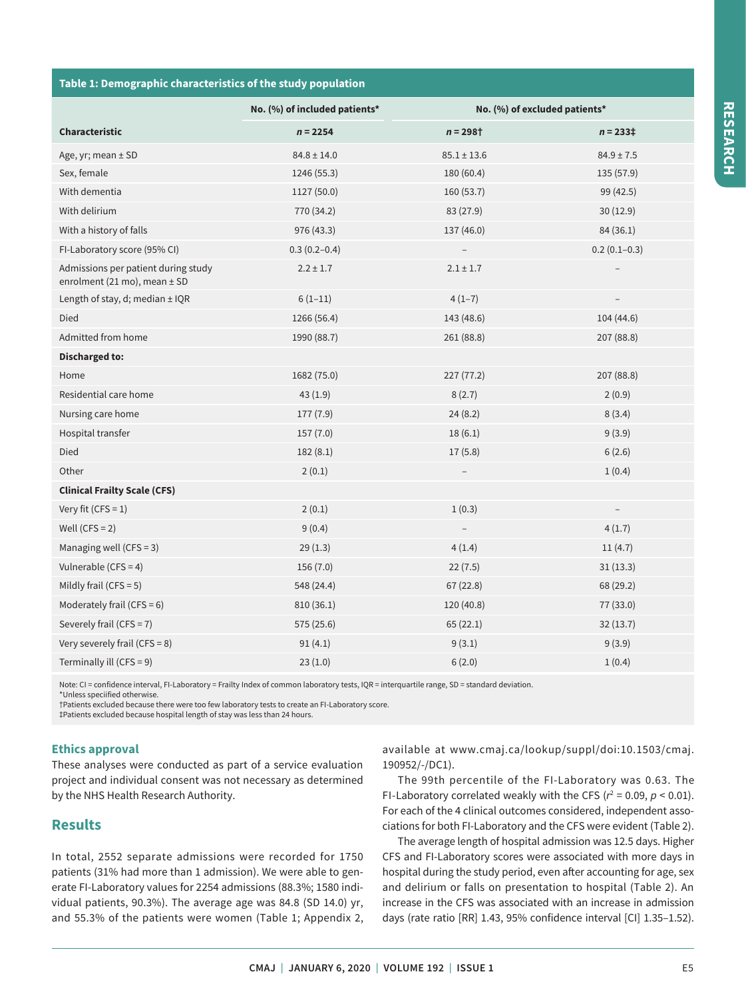|                                                                         | No. (%) of included patients* |                 | No. (%) of excluded patients* |  |
|-------------------------------------------------------------------------|-------------------------------|-----------------|-------------------------------|--|
| <b>Characteristic</b>                                                   | $n = 2254$                    | $n = 298$ †     | $n = 233 \ddagger$            |  |
| Age, yr; mean $\pm$ SD                                                  | $84.8 \pm 14.0$               | $85.1 \pm 13.6$ | $84.9 \pm 7.5$                |  |
| Sex, female                                                             | 1246 (55.3)                   | 180 (60.4)      | 135(57.9)                     |  |
| With dementia                                                           | 1127 (50.0)                   | 160(53.7)       | 99 (42.5)                     |  |
| With delirium                                                           | 770 (34.2)                    | 83 (27.9)       | 30(12.9)                      |  |
| With a history of falls                                                 | 976 (43.3)                    | 137 (46.0)      | 84 (36.1)                     |  |
| FI-Laboratory score (95% CI)                                            | $0.3(0.2 - 0.4)$              |                 | $0.2(0.1-0.3)$                |  |
| Admissions per patient during study<br>enrolment (21 mo), mean $\pm$ SD | $2.2 \pm 1.7$                 | $2.1 \pm 1.7$   |                               |  |
| Length of stay, d; median ± IQR                                         | $6(1-11)$                     | $4(1-7)$        |                               |  |
| <b>Died</b>                                                             | 1266 (56.4)                   | 143 (48.6)      | 104 (44.6)                    |  |
| Admitted from home                                                      | 1990 (88.7)                   | 261 (88.8)      | 207 (88.8)                    |  |
| <b>Discharged to:</b>                                                   |                               |                 |                               |  |
| Home                                                                    | 1682 (75.0)                   | 227 (77.2)      | 207 (88.8)                    |  |
| Residential care home                                                   | 43(1.9)                       | 8(2.7)          | 2(0.9)                        |  |
| Nursing care home                                                       | 177(7.9)                      | 24(8.2)         | 8(3.4)                        |  |
| Hospital transfer                                                       | 157(7.0)                      | 18(6.1)         | 9(3.9)                        |  |
| Died                                                                    | 182(8.1)                      | 17(5.8)         | 6(2.6)                        |  |
| Other                                                                   | 2(0.1)                        |                 | 1(0.4)                        |  |
| <b>Clinical Frailty Scale (CFS)</b>                                     |                               |                 |                               |  |
| Very fit (CFS = $1$ )                                                   | 2(0.1)                        | 1(0.3)          |                               |  |
| Well (CFS = $2$ )                                                       | 9(0.4)                        |                 | 4(1.7)                        |  |
| Managing well (CFS = 3)                                                 | 29(1.3)                       | 4(1.4)          | 11(4.7)                       |  |
| Vulnerable (CFS = 4)                                                    | 156(7.0)                      | 22(7.5)         | 31(13.3)                      |  |
| Mildly frail (CFS = $5$ )                                               | 548 (24.4)                    | 67(22.8)        | 68 (29.2)                     |  |
| Moderately frail (CFS = $6$ )                                           | 810 (36.1)                    | 120 (40.8)      | 77 (33.0)                     |  |
| Severely frail (CFS = 7)                                                | 575 (25.6)                    | 65 (22.1)       | 32(13.7)                      |  |
| Very severely frail (CFS = $8$ )                                        | 91(4.1)                       | 9(3.1)          | 9(3.9)                        |  |
| Terminally ill (CFS = $9$ )                                             | 23(1.0)                       | 6(2.0)          | 1(0.4)                        |  |

**RESEARCH RESEARCH**

Note: CI = confidence interval, FI-Laboratory = Frailty Index of common laboratory tests, IQR = interquartile range, SD = standard deviation. \*Unless speciified otherwise.

†Patients excluded because there were too few laboratory tests to create an FI-Laboratory score.

‡Patients excluded because hospital length of stay was less than 24 hours.

## **Ethics approval**

These analyses were conducted as part of a service evaluation project and individual consent was not necessary as determined by the NHS Health Research Authority.

# **Results**

In total, 2552 separate admissions were recorded for 1750 patients (31% had more than 1 admission). We were able to generate FI-Laboratory values for 2254 admissions (88.3%; 1580 individual patients, 90.3%). The average age was 84.8 (SD 14.0) yr, and 55.3% of the patients were women (Table 1; Appendix 2, available at www.cmaj.ca/lookup/suppl/doi:10.1503/cmaj. 190952/-/DC1).

The 99th percentile of the FI-Laboratory was 0.63. The FI-Laboratory correlated weakly with the CFS  $(r^2 = 0.09, p < 0.01)$ . For each of the 4 clinical outcomes considered, independent associations for both FI-Laboratory and the CFS were evident (Table 2).

The average length of hospital admission was 12.5 days. Higher CFS and FI-Laboratory scores were associated with more days in hospital during the study period, even after accounting for age, sex and delirium or falls on presentation to hospital (Table 2). An increase in the CFS was associated with an increase in admission days (rate ratio [RR] 1.43, 95% confidence interval [CI] 1.35–1.52).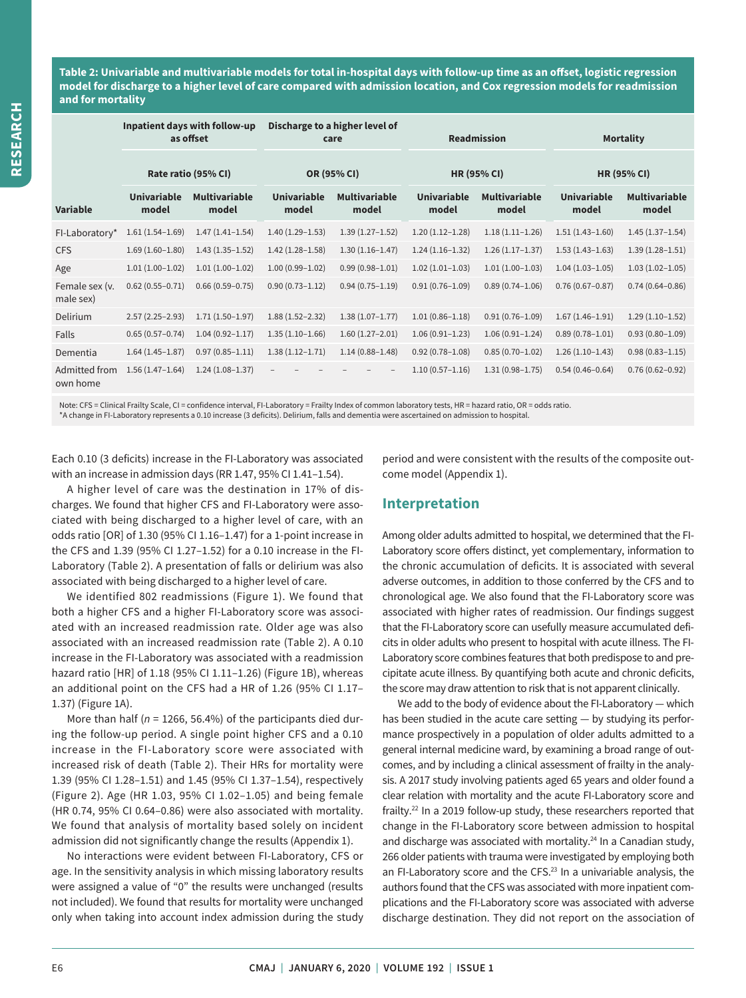**Table 2: Univariable and multivariable models for total in-hospital days with follow-up time as an offset, logistic regression model for discharge to a higher level of care compared with admission location, and Cox regression models for readmission and for mortality**

|                             |                             | Inpatient days with follow-up<br>as offset |                             | Discharge to a higher level of<br>care |                             | <b>Readmission</b>            |                             | <b>Mortality</b>              |
|-----------------------------|-----------------------------|--------------------------------------------|-----------------------------|----------------------------------------|-----------------------------|-------------------------------|-----------------------------|-------------------------------|
|                             | Rate ratio (95% CI)         |                                            | OR (95% CI)                 |                                        | <b>HR (95% CI)</b>          |                               | <b>HR (95% CI)</b>          |                               |
| <b>Variable</b>             | <b>Univariable</b><br>model | <b>Multivariable</b><br>model              | <b>Univariable</b><br>model | <b>Multivariable</b><br>model          | <b>Univariable</b><br>model | <b>Multivariable</b><br>model | <b>Univariable</b><br>model | <b>Multivariable</b><br>model |
| FI-Laboratory*              | $1.61(1.54 - 1.69)$         | $1.47(1.41 - 1.54)$                        | $1.40(1.29-1.53)$           | $1.39(1.27-1.52)$                      | $1.20(1.12-1.28)$           | $1.18(1.11 - 1.26)$           | $1.51(1.43 - 1.60)$         | $1.45(1.37-1.54)$             |
| <b>CFS</b>                  | $1.69(1.60-1.80)$           | $1.43(1.35-1.52)$                          | $1.42(1.28 - 1.58)$         | $1.30(1.16-1.47)$                      | $1.24(1.16-1.32)$           | $1.26(1.17-1.37)$             | $1.53(1.43 - 1.63)$         | $1.39(1.28 - 1.51)$           |
| Age                         | $1.01(1.00-1.02)$           | $1.01(1.00-1.02)$                          | $1.00(0.99 - 1.02)$         | $0.99(0.98 - 1.01)$                    | $1.02(1.01-1.03)$           | $1.01(1.00-1.03)$             | $1.04(1.03-1.05)$           | $1.03(1.02 - 1.05)$           |
| Female sex (v.<br>male sex) | $0.62(0.55 - 0.71)$         | $0.66(0.59 - 0.75)$                        | $0.90(0.73 - 1.12)$         | $0.94(0.75 - 1.19)$                    | $0.91(0.76 - 1.09)$         | $0.89(0.74 - 1.06)$           | $0.76(0.67 - 0.87)$         | $0.74(0.64 - 0.86)$           |
| Delirium                    | $2.57(2.25 - 2.93)$         | $1.71(1.50-1.97)$                          | $1.88(1.52 - 2.32)$         | $1.38(1.07-1.77)$                      | $1.01(0.86 - 1.18)$         | $0.91(0.76 - 1.09)$           | $1.67(1.46 - 1.91)$         | $1.29(1.10-1.52)$             |
| Falls                       | $0.65(0.57-0.74)$           | $1.04(0.92 - 1.17)$                        | $1.35(1.10-1.66)$           | $1.60(1.27-2.01)$                      | $1.06(0.91 - 1.23)$         | $1.06(0.91 - 1.24)$           | $0.89(0.78 - 1.01)$         | $0.93(0.80 - 1.09)$           |
| Dementia                    | $1.64(1.45-1.87)$           | $0.97(0.85 - 1.11)$                        | $1.38(1.12 - 1.71)$         | $1.14(0.88 - 1.48)$                    | $0.92(0.78 - 1.08)$         | $0.85(0.70-1.02)$             | $1.26(1.10-1.43)$           | $0.98(0.83 - 1.15)$           |
| Admitted from<br>own home   | $1.56(1.47-1.64)$           | $1.24(1.08-1.37)$                          | $\overline{a}$              |                                        | $1.10(0.57 - 1.16)$         | $1.31(0.98 - 1.75)$           | $0.54(0.46 - 0.64)$         | $0.76(0.62 - 0.92)$           |

Note: CFS = Clinical Frailty Scale, CI = confidence interval, FI-Laboratory = Frailty Index of common laboratory tests, HR = hazard ratio, OR = odds ratio.

\*A change in FI-Laboratory represents a 0.10 increase (3 deficits). Delirium, falls and dementia were ascertained on admission to hospital.

Each 0.10 (3 deficits) increase in the FI-Laboratory was associated with an increase in admission days (RR 1.47, 95% CI 1.41–1.54).

A higher level of care was the destination in 17% of discharges. We found that higher CFS and FI-Laboratory were associated with being discharged to a higher level of care, with an odds ratio [OR] of 1.30 (95% CI 1.16–1.47) for a 1-point increase in the CFS and 1.39 (95% CI 1.27–1.52) for a 0.10 increase in the FI-Laboratory (Table 2). A presentation of falls or delirium was also associated with being discharged to a higher level of care.

We identified 802 readmissions (Figure 1). We found that both a higher CFS and a higher FI-Laboratory score was associated with an increased readmission rate. Older age was also associated with an increased readmission rate (Table 2). A 0.10 increase in the FI-Laboratory was associated with a readmission hazard ratio [HR] of 1.18 (95% CI 1.11–1.26) (Figure 1B), whereas an additional point on the CFS had a HR of 1.26 (95% CI 1.17– 1.37) (Figure 1A).

More than half (*n* = 1266, 56.4%) of the participants died during the follow-up period. A single point higher CFS and a 0.10 increase in the FI-Laboratory score were associated with increased risk of death (Table 2). Their HRs for mortality were 1.39 (95% CI 1.28–1.51) and 1.45 (95% CI 1.37–1.54), respectively (Figure 2). Age (HR 1.03, 95% CI 1.02–1.05) and being female (HR 0.74, 95% CI 0.64–0.86) were also associated with mortality. We found that analysis of mortality based solely on incident admission did not significantly change the results (Appendix 1).

No interactions were evident between FI-Laboratory, CFS or age. In the sensitivity analysis in which missing laboratory results were assigned a value of "0" the results were unchanged (results not included). We found that results for mortality were unchanged only when taking into account index admission during the study

period and were consistent with the results of the composite outcome model (Appendix 1).

# **Interpretation**

Among older adults admitted to hospital, we determined that the FI-Laboratory score offers distinct, yet complementary, information to the chronic accumulation of deficits. It is associated with several adverse outcomes, in addition to those conferred by the CFS and to chronological age. We also found that the FI-Laboratory score was associated with higher rates of readmission. Our findings suggest that the FI-Laboratory score can usefully measure accumulated deficits in older adults who present to hospital with acute illness. The FI-Laboratory score combines features that both predispose to and precipitate acute illness. By quantifying both acute and chronic deficits, the score may draw attention to risk that is not apparent clinically.

We add to the body of evidence about the FI-Laboratory — which has been studied in the acute care setting  $-$  by studying its performance prospectively in a population of older adults admitted to a general internal medicine ward, by examining a broad range of outcomes, and by including a clinical assessment of frailty in the analysis. A 2017 study involving patients aged 65 years and older found a clear relation with mortality and the acute FI-Laboratory score and frailty.22 In a 2019 follow-up study, these researchers reported that change in the FI-Laboratory score between admission to hospital and discharge was associated with mortality. $24$  In a Canadian study, 266 older patients with trauma were investigated by employing both an FI-Laboratory score and the CFS.<sup>23</sup> In a univariable analysis, the authors found that the CFS was associated with more inpatient complications and the FI-Laboratory score was associated with adverse discharge destination. They did not report on the association of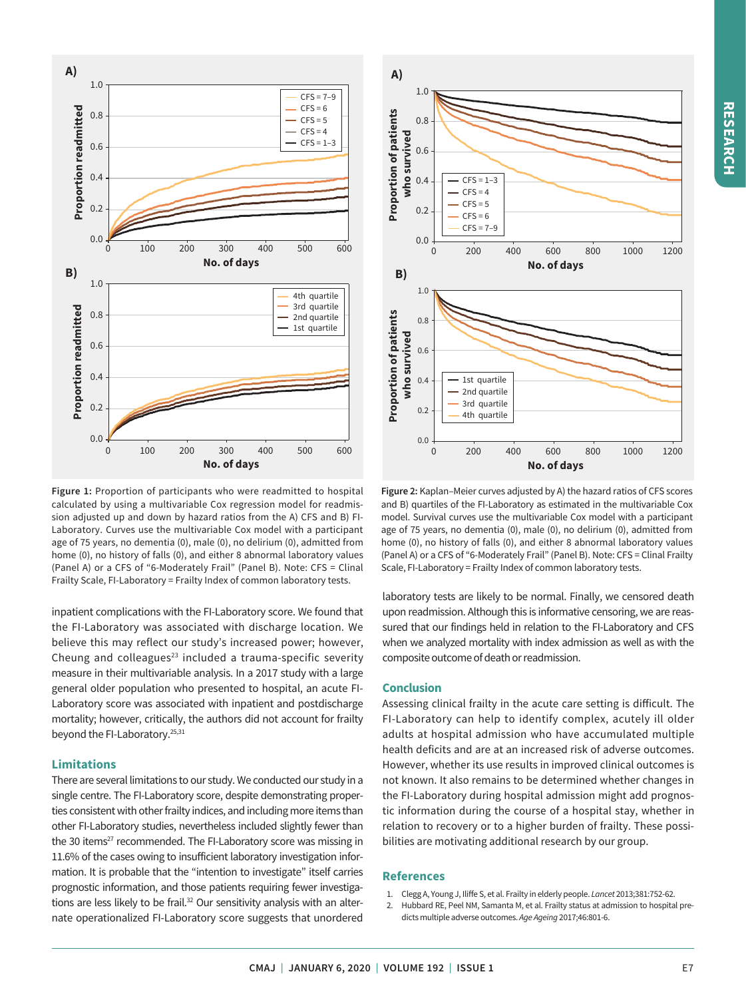

**Figure 1:** Proportion of participants who were readmitted to hospital calculated by using a multivariable Cox regression model for readmission adjusted up and down by hazard ratios from the A) CFS and B) FI-Laboratory. Curves use the multivariable Cox model with a participant age of 75 years, no dementia (0), male (0), no delirium (0), admitted from home (0), no history of falls (0), and either 8 abnormal laboratory values (Panel A) or a CFS of "6-Moderately Frail" (Panel B). Note: CFS = Clinal Frailty Scale, FI-Laboratory = Frailty Index of common laboratory tests.

inpatient complications with the FI-Laboratory score. We found that the FI-Laboratory was associated with discharge location. We believe this may reflect our study's increased power; however, Cheung and colleagues $^{23}$  included a trauma-specific severity measure in their multivariable analysis. In a 2017 study with a large general older population who presented to hospital, an acute FI-Laboratory score was associated with inpatient and postdischarge mortality; however, critically, the authors did not account for frailty beyond the FI-Laboratory.<sup>25,31</sup>

#### **Limitations**

There are several limitations to our study. We conducted our study in a single centre. The FI-Laboratory score, despite demonstrating properties consistent with other frailty indices, and including more items than other FI-Laboratory studies, nevertheless included slightly fewer than the 30 items<sup>27</sup> recommended. The FI-Laboratory score was missing in 11.6% of the cases owing to insufficient laboratory investigation information. It is probable that the "intention to investigate" itself carries prognostic information, and those patients requiring fewer investigations are less likely to be frail.<sup>32</sup> Our sensitivity analysis with an alternate operationalized FI-Laboratory score suggests that unordered



**Figure 2:** Kaplan–Meier curves adjusted by A) the hazard ratios of CFS scores and B) quartiles of the FI-Laboratory as estimated in the multivariable Cox model. Survival curves use the multivariable Cox model with a participant age of 75 years, no dementia (0), male (0), no delirium (0), admitted from home (0), no history of falls (0), and either 8 abnormal laboratory values (Panel A) or a CFS of "6-Moderately Frail" (Panel B). Note: CFS = Clinal Frailty Scale, FI-Laboratory = Frailty Index of common laboratory tests.

laboratory tests are likely to be normal. Finally, we censored death upon readmission. Although this is informative censoring, we are reassured that our findings held in relation to the FI-Laboratory and CFS when we analyzed mortality with index admission as well as with the composite outcome of death or readmission.

#### **Conclusion**

Assessing clinical frailty in the acute care setting is difficult. The FI-Laboratory can help to identify complex, acutely ill older adults at hospital admission who have accumulated multiple health deficits and are at an increased risk of adverse outcomes. However, whether its use results in improved clinical outcomes is not known. It also remains to be determined whether changes in the FI-Laboratory during hospital admission might add prognostic information during the course of a hospital stay, whether in relation to recovery or to a higher burden of frailty. These possibilities are motivating additional research by our group.

#### **References**

- 1. Clegg A, Young J, Iliffe S, et al. Frailty in elderly people. *Lancet* 2013;381:752-62.
- 2. Hubbard RE, Peel NM, Samanta M, et al. Frailty status at admission to hospital predicts multiple adverse outcomes. *Age Ageing* 2017;46:801-6.